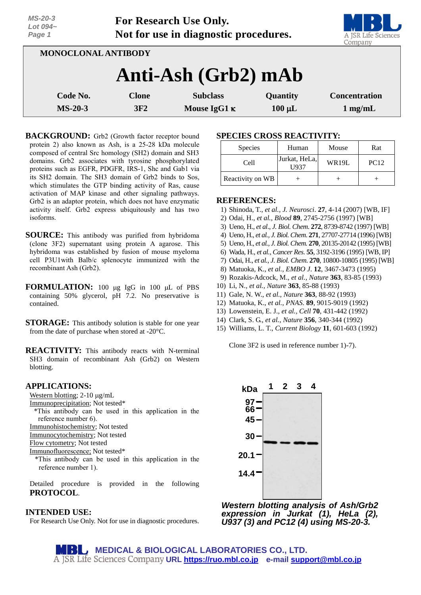| Lot $094-$<br>Page 1 |              | $\sim$ 01 1000001 011 000 0111<br>Not for use in diagnostic procedures. |             | $\overline{\phantom{a}}$<br>A JSR Life Sciences<br>Company |
|----------------------|--------------|-------------------------------------------------------------------------|-------------|------------------------------------------------------------|
| MONOCLONAL ANTIBODY  |              |                                                                         |             |                                                            |
|                      |              | Anti-Ash (Grb2) mAb                                                     |             |                                                            |
| Code No.             | <b>Clone</b> | <b>Subclass</b>                                                         | Quantity    | <b>Concentration</b>                                       |
| $MS-20-3$            | 3F2          | Mouse IgG1 $\kappa$                                                     | $100 \mu L$ | $1 \text{ mg/mL}$                                          |

**For Research Use Only.**

**BACKGROUND:** Grb2 (Growth factor receptor bound protein 2) also known as Ash, is a 25-28 kDa molecule composed of central Src homology (SH2) domain and SH3 domains. Grb2 associates with tyrosine phosphorylated proteins such as EGFR, PDGFR, IRS-1, Shc and Gab1 via its SH2 domain. The SH3 domain of Grb2 binds to Sos, which stimulates the GTP binding activity of Ras, cause activation of MAP kinase and other signaling pathways. Grb2 is an adaptor protein, which does not have enzymatic activity itself. Grb2 express ubiquitously and has two isoforms.

- **SOURCE:** This antibody was purified from hybridoma (clone 3F2) supernatant using protein A agarose. This hybridoma was established by fusion of mouse myeloma cell P3U1with Balb/c splenocyte immunized with the recombinant Ash (Grb2).
- **FORMULATION:** 100  $\mu$ g IgG in 100  $\mu$ L of PBS containing 50% glycerol, pH 7.2. No preservative is contained.
- **STORAGE:** This antibody solution is stable for one year from the date of purchase when stored at -20°C.

**REACTIVITY:** This antibody reacts with N-terminal SH3 domain of recombinant Ash (Grb2) on Western blotting.

### **APPLICATIONS:**

*MS-20-3*

Western blotting;  $2-10 \mu g/mL$ 

Immunoprecipitation; Not tested\*

\*This antibody can be used in this application in the reference number 6).

Immunohistochemistry; Not tested

Immunocytochemistry; Not tested

Flow cytometry; Not tested

Immunofluorescence; Not tested\*

\*This antibody can be used in this application in the reference number 1).

Detailed procedure is provided in the following **PROTOCOL**.

# **INTENDED USE:**

For Research Use Only. Not for use in diagnostic procedures.

# **SPECIES CROSS REACTIVITY:**

| <b>Species</b>   | Human                  | Mouse | Rat         |
|------------------|------------------------|-------|-------------|
| Cell             | Jurkat, HeLa,<br>[1937 | WR19L | <b>PC12</b> |
| Reactivity on WB |                        |       |             |

## **REFERENCES:**

- 1) Shinoda, T., *et al., J. Neurosci*. **27**, 4-14 (2007) [WB, IF]
- 2) Odai, H., *et al., Blood* **89**, 2745-2756 (1997) [WB]
- 3) Ueno, H., *et al*., *J. Biol. Chem.* **272**, 8739-8742 (1997) [WB]
- 4) Ueno, H., *et al., J. Biol. Chem*. **271**, 27707-27714 (1996) [WB]
- 5) Ueno, H., *et al., J. Biol. Chem.* **270**, 20135-20142 (1995) [WB]
- 6) Wada, H., *et al., Cancer Res*. **55**, 3192-3196 (1995) [WB, IP]
- 7) Odai, H., *et al., J. Biol. Chem*. **270**, 10800-10805 (1995) [WB]
- 8) Matuoka, K., *et al., EMBO J*. **12**, 3467-3473 (1995)
- 9) Rozakis-Adcock, M., *et al., Nature* **363**, 83-85 (1993)
- 10) Li, N., *et al., Nature* **363**, 85-88 (1993)
- 11) Gale, N. W., *et al., Nature* **363**, 88-92 (1993)
- 12) Matuoka, K., *et al., PNAS.* **89**, 9015-9019 (1992)
- 13) Lowenstein, E. J., *et al., Cell* **70**, 431-442 (1992)
- 14) Clark, S. G., *et al., Nature* **356**, 340-344 (1992)
- 15) Williams, L. T., *Current Biology* **11**, 601-603 (1992)

Clone 3F2 is used in reference number 1)-7).



*Western blotting analysis of Ash/Grb2 expression in Jurkat (1), HeLa (2), U937 (3) and PC12 (4) using MS-20-3.*